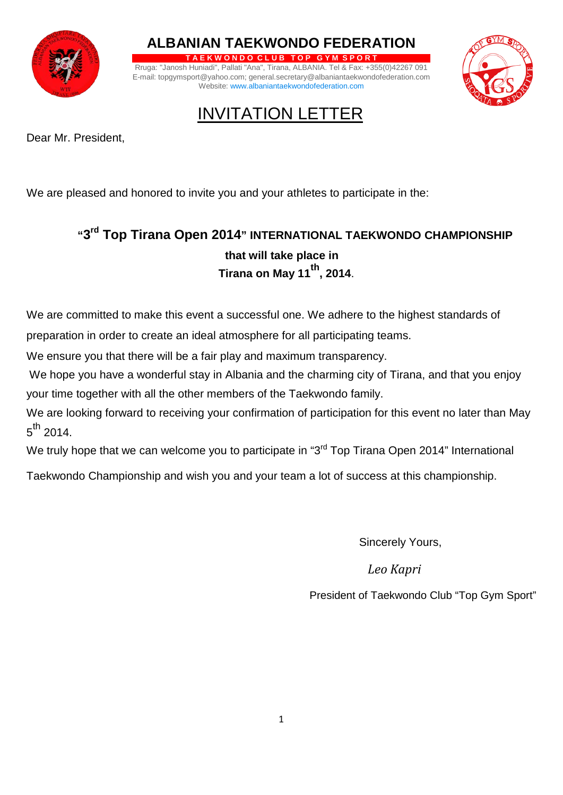

**ALBANIAN TAEKWONDO FEDERATION**

**T A E K W O N D O C L U B T O P G Y M S P O R T** Rruga: "Janosh Huniadi", Pallati "Ana", Tirana, ALBANIA. Tel & Fax: +355(0)42267 091 E-mail: topgymsport@yahoo.com; general.secretary@albaniantaekwondofederation.com Website: [www.albaniantaekwondofederation.com](http://albaniataekwondofederation.com/)



INVITATION LETTER

Dear Mr. President,

We are pleased and honored to invite you and your athletes to participate in the:

## **"3rd Top Tirana Open 2014" INTERNATIONAL TAEKWONDO CHAMPIONSHIP that will take place in Tirana on May <sup>11</sup>th, 2014**.

We are committed to make this event a successful one. We adhere to the highest standards of preparation in order to create an ideal atmosphere for all participating teams.

We ensure you that there will be a fair play and maximum transparency.

We hope you have a wonderful stay in Albania and the charming city of Tirana, and that you enjoy your time together with all the other members of the Taekwondo family.

We are looking forward to receiving your confirmation of participation for this event no later than May  $5^{\sf th}$  2014.

We truly hope that we can welcome you to participate in "3<sup>rd</sup> Top Tirana Open 2014" International

Taekwondo Championship and wish you and your team a lot of success at this championship.

Sincerely Yours,

*Leo Kapri*

President of Taekwondo Club "Top Gym Sport"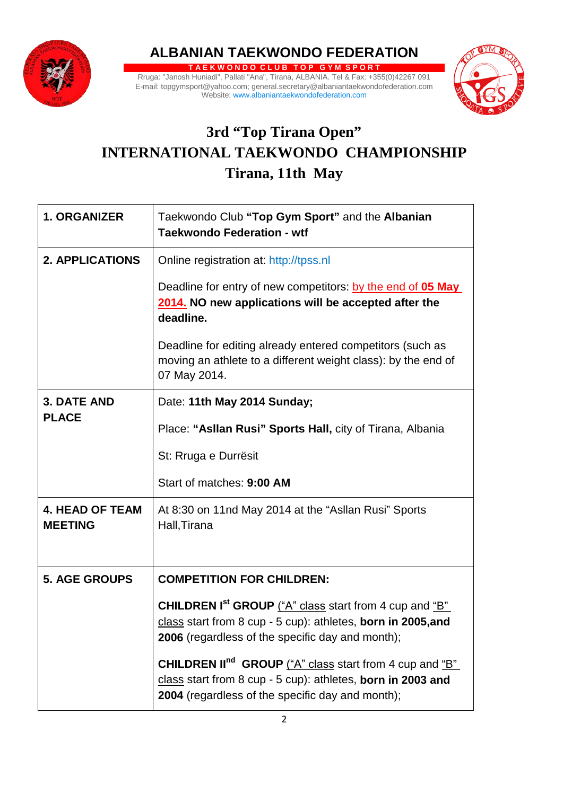

**ALBANIAN TAEKWONDO FEDERATION**

**T A E K W O N D O C L U B T O P G Y M S P O R T** Rruga: "Janosh Huniadi", Pallati "Ana", Tirana, ALBANIA. Tel & Fax: +355(0)42267 091 E-mail: topgymsport@yahoo.com; general.secretary@albaniantaekwondofederation.com Website: [www.albaniantaekwondofederation.com](http://albaniataekwondofederation.com/)



## **3rd "Top Tirana Open" INTERNATIONAL TAEKWONDO CHAMPIONSHIP Tirana, 11th May**

| <b>1. ORGANIZER</b>                      | Taekwondo Club "Top Gym Sport" and the Albanian<br><b>Taekwondo Federation - wtf</b>                                                                                                                                |
|------------------------------------------|---------------------------------------------------------------------------------------------------------------------------------------------------------------------------------------------------------------------|
| <b>2. APPLICATIONS</b>                   | Online registration at: http://tpss.nl                                                                                                                                                                              |
|                                          | Deadline for entry of new competitors: by the end of 05 May<br>2014. NO new applications will be accepted after the<br>deadline.                                                                                    |
|                                          | Deadline for editing already entered competitors (such as<br>moving an athlete to a different weight class): by the end of<br>07 May 2014.                                                                          |
| <b>3. DATE AND</b><br><b>PLACE</b>       | Date: 11th May 2014 Sunday;                                                                                                                                                                                         |
|                                          | Place: "Asllan Rusi" Sports Hall, city of Tirana, Albania                                                                                                                                                           |
|                                          | St: Rruga e Durrësit                                                                                                                                                                                                |
|                                          | Start of matches: 9:00 AM                                                                                                                                                                                           |
| <b>4. HEAD OF TEAM</b><br><b>MEETING</b> | At 8:30 on 11nd May 2014 at the "Asllan Rusi" Sports<br>Hall, Tirana                                                                                                                                                |
| <b>5. AGE GROUPS</b>                     | <b>COMPETITION FOR CHILDREN:</b>                                                                                                                                                                                    |
|                                          | <b>CHILDREN Ist GROUP</b> ("A" class start from 4 cup and "B"<br>class start from 8 cup - 5 cup): athletes, born in 2005, and<br>2006 (regardless of the specific day and month);                                   |
|                                          | <b>CHILDREN II<sup>nd</sup></b> GROUP $\frac{H^*}{H}$ class start from 4 cup and $\frac{H^*}{H}$<br>class start from 8 cup - 5 cup): athletes, born in 2003 and<br>2004 (regardless of the specific day and month); |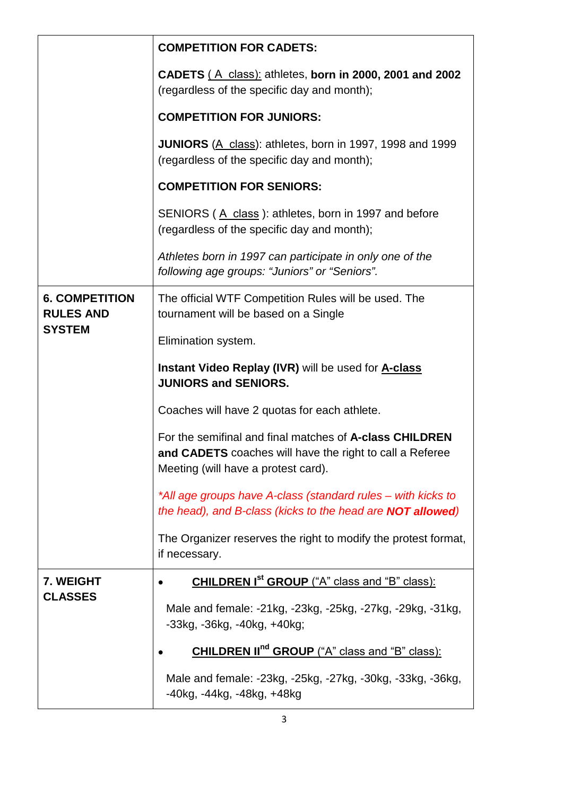|                                                            | <b>COMPETITION FOR CADETS:</b>                                                                                                                             |
|------------------------------------------------------------|------------------------------------------------------------------------------------------------------------------------------------------------------------|
|                                                            | CADETS (A class): athletes, born in 2000, 2001 and 2002<br>(regardless of the specific day and month);                                                     |
|                                                            | <b>COMPETITION FOR JUNIORS:</b>                                                                                                                            |
|                                                            | JUNIORS (A class): athletes, born in 1997, 1998 and 1999<br>(regardless of the specific day and month);                                                    |
|                                                            | <b>COMPETITION FOR SENIORS:</b>                                                                                                                            |
|                                                            | SENIORS (A class): athletes, born in 1997 and before<br>(regardless of the specific day and month);                                                        |
|                                                            | Athletes born in 1997 can participate in only one of the<br>following age groups: "Juniors" or "Seniors".                                                  |
| <b>6. COMPETITION</b><br><b>RULES AND</b><br><b>SYSTEM</b> | The official WTF Competition Rules will be used. The<br>tournament will be based on a Single                                                               |
|                                                            | Elimination system.                                                                                                                                        |
|                                                            | <b>Instant Video Replay (IVR)</b> will be used for <b>A-class</b><br><b>JUNIORS and SENIORS.</b>                                                           |
|                                                            | Coaches will have 2 quotas for each athlete.                                                                                                               |
|                                                            | For the semifinal and final matches of A-class CHILDREN<br>and CADETS coaches will have the right to call a Referee<br>Meeting (will have a protest card). |
|                                                            | *All age groups have A-class (standard rules – with kicks to<br>the head), and B-class (kicks to the head are <b>NOT allowed</b> )                         |
|                                                            | The Organizer reserves the right to modify the protest format,<br>if necessary.                                                                            |
| 7. WEIGHT<br><b>CLASSES</b>                                | <b>CHILDREN Ist GROUP</b> ("A" class and "B" class):                                                                                                       |
|                                                            | Male and female: -21kg, -23kg, -25kg, -27kg, -29kg, -31kg,<br>$-33kg$ , $-36kg$ , $-40kg$ , $+40kg$ ;                                                      |
|                                                            | <b>CHILDREN II<sup>nd</sup> GROUP</b> ("A" class and "B" class):                                                                                           |
|                                                            | Male and female: -23kg, -25kg, -27kg, -30kg, -33kg, -36kg,<br>-40kg, -44kg, -48kg, +48kg                                                                   |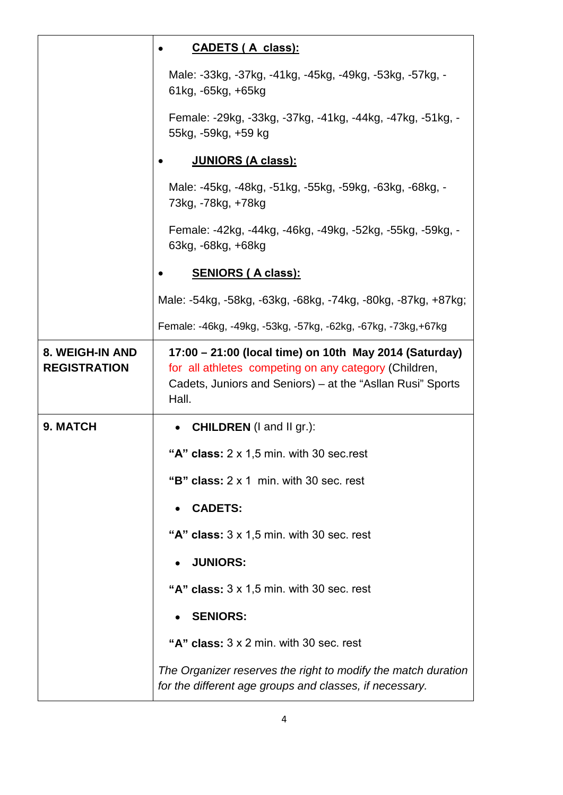|                                        | <u>CADETS (A class):</u>                                                                                                                                                               |
|----------------------------------------|----------------------------------------------------------------------------------------------------------------------------------------------------------------------------------------|
|                                        | Male: -33kg, -37kg, -41kg, -45kg, -49kg, -53kg, -57kg, -<br>61kg, -65kg, +65kg                                                                                                         |
|                                        | Female: -29kg, -33kg, -37kg, -41kg, -44kg, -47kg, -51kg, -<br>55kg, -59kg, +59 kg                                                                                                      |
|                                        | <u>JUNIORS (A class):</u>                                                                                                                                                              |
|                                        | Male: -45kg, -48kg, -51kg, -55kg, -59kg, -63kg, -68kg, -<br>73kg, -78kg, +78kg                                                                                                         |
|                                        | Female: -42kg, -44kg, -46kg, -49kg, -52kg, -55kg, -59kg, -<br>63kg, -68kg, +68kg                                                                                                       |
|                                        | <u>SENIORS (A class):</u>                                                                                                                                                              |
|                                        | Male: -54kg, -58kg, -63kg, -68kg, -74kg, -80kg, -87kg, +87kg;                                                                                                                          |
|                                        | Female: -46kg, -49kg, -53kg, -57kg, -62kg, -67kg, -73kg, +67kg                                                                                                                         |
| 8. WEIGH-IN AND<br><b>REGISTRATION</b> | 17:00 – 21:00 (local time) on 10th May 2014 (Saturday)<br>for all athletes competing on any category (Children,<br>Cadets, Juniors and Seniors) – at the "Asllan Rusi" Sports<br>Hall. |
| 9. MATCH                               | • CHILDREN (I and II gr.):                                                                                                                                                             |
|                                        | "A" class: $2 \times 1.5$ min. with 30 sec. rest                                                                                                                                       |
|                                        | "B" class: $2 \times 1$ min. with 30 sec. rest                                                                                                                                         |
|                                        | <b>CADETS:</b>                                                                                                                                                                         |
|                                        | "A" class: $3 \times 1.5$ min. with 30 sec. rest                                                                                                                                       |
|                                        | <b>JUNIORS:</b>                                                                                                                                                                        |
|                                        | "A" class: $3 \times 1.5$ min. with 30 sec. rest                                                                                                                                       |
|                                        | <b>SENIORS:</b>                                                                                                                                                                        |
|                                        | "A" class: $3 \times 2$ min. with 30 sec. rest                                                                                                                                         |
|                                        | The Organizer reserves the right to modify the match duration<br>for the different age groups and classes, if necessary.                                                               |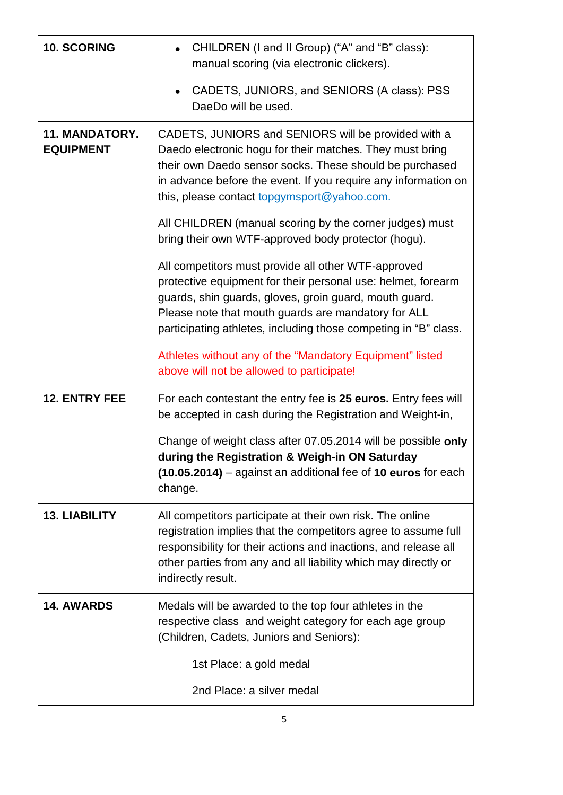| 10. SCORING                        | CHILDREN (I and II Group) ("A" and "B" class):<br>manual scoring (via electronic clickers).                                                                                                                                                                                                                                                                                                                   |
|------------------------------------|---------------------------------------------------------------------------------------------------------------------------------------------------------------------------------------------------------------------------------------------------------------------------------------------------------------------------------------------------------------------------------------------------------------|
|                                    | CADETS, JUNIORS, and SENIORS (A class): PSS<br>DaeDo will be used.                                                                                                                                                                                                                                                                                                                                            |
| 11. MANDATORY.<br><b>EQUIPMENT</b> | CADETS, JUNIORS and SENIORS will be provided with a<br>Daedo electronic hogu for their matches. They must bring<br>their own Daedo sensor socks. These should be purchased<br>in advance before the event. If you require any information on<br>this, please contact topgymsport@yahoo.com.<br>All CHILDREN (manual scoring by the corner judges) must<br>bring their own WTF-approved body protector (hogu). |
|                                    | All competitors must provide all other WTF-approved<br>protective equipment for their personal use: helmet, forearm<br>guards, shin guards, gloves, groin guard, mouth guard.<br>Please note that mouth guards are mandatory for ALL<br>participating athletes, including those competing in "B" class.                                                                                                       |
|                                    | Athletes without any of the "Mandatory Equipment" listed<br>above will not be allowed to participate!                                                                                                                                                                                                                                                                                                         |
| <b>12. ENTRY FEE</b>               | For each contestant the entry fee is 25 euros. Entry fees will<br>be accepted in cash during the Registration and Weight-in,                                                                                                                                                                                                                                                                                  |
|                                    | Change of weight class after 07.05.2014 will be possible only<br>during the Registration & Weigh-in ON Saturday<br>(10.05.2014) – against an additional fee of 10 euros for each<br>change.                                                                                                                                                                                                                   |
| <b>13. LIABILITY</b>               | All competitors participate at their own risk. The online<br>registration implies that the competitors agree to assume full<br>responsibility for their actions and inactions, and release all<br>other parties from any and all liability which may directly or<br>indirectly result.                                                                                                                        |
| <b>14. AWARDS</b>                  | Medals will be awarded to the top four athletes in the<br>respective class and weight category for each age group<br>(Children, Cadets, Juniors and Seniors):                                                                                                                                                                                                                                                 |
|                                    | 1st Place: a gold medal                                                                                                                                                                                                                                                                                                                                                                                       |
|                                    | 2nd Place: a silver medal                                                                                                                                                                                                                                                                                                                                                                                     |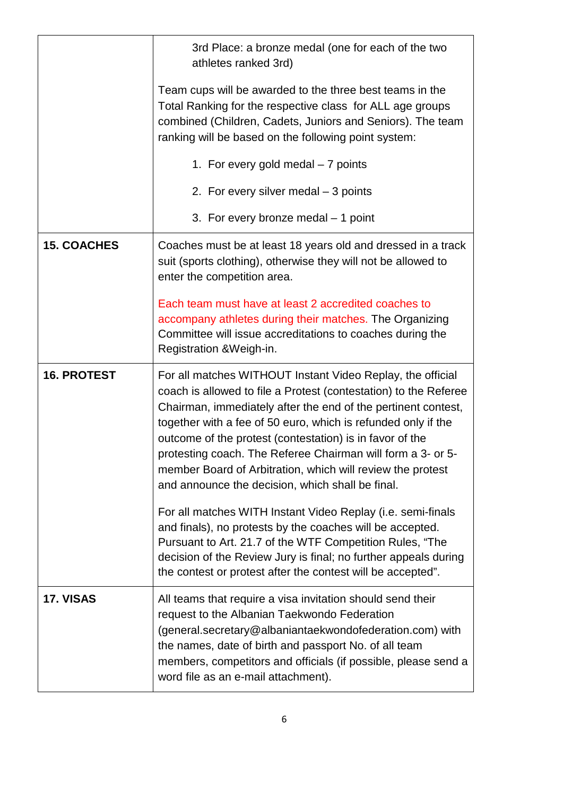|                    | 3rd Place: a bronze medal (one for each of the two<br>athletes ranked 3rd)                                                                                                                                                                                                                                                                                                                                                                                                                                    |
|--------------------|---------------------------------------------------------------------------------------------------------------------------------------------------------------------------------------------------------------------------------------------------------------------------------------------------------------------------------------------------------------------------------------------------------------------------------------------------------------------------------------------------------------|
|                    | Team cups will be awarded to the three best teams in the<br>Total Ranking for the respective class for ALL age groups<br>combined (Children, Cadets, Juniors and Seniors). The team<br>ranking will be based on the following point system:                                                                                                                                                                                                                                                                   |
|                    | 1. For every gold medal - 7 points                                                                                                                                                                                                                                                                                                                                                                                                                                                                            |
|                    | 2. For every silver medal - 3 points                                                                                                                                                                                                                                                                                                                                                                                                                                                                          |
|                    | 3. For every bronze medal $-1$ point                                                                                                                                                                                                                                                                                                                                                                                                                                                                          |
| <b>15. COACHES</b> | Coaches must be at least 18 years old and dressed in a track<br>suit (sports clothing), otherwise they will not be allowed to<br>enter the competition area.                                                                                                                                                                                                                                                                                                                                                  |
|                    | Each team must have at least 2 accredited coaches to<br>accompany athletes during their matches. The Organizing<br>Committee will issue accreditations to coaches during the<br>Registration & Weigh-in.                                                                                                                                                                                                                                                                                                      |
| <b>16. PROTEST</b> | For all matches WITHOUT Instant Video Replay, the official<br>coach is allowed to file a Protest (contestation) to the Referee<br>Chairman, immediately after the end of the pertinent contest,<br>together with a fee of 50 euro, which is refunded only if the<br>outcome of the protest (contestation) is in favor of the<br>protesting coach. The Referee Chairman will form a 3- or 5-<br>member Board of Arbitration, which will review the protest<br>and announce the decision, which shall be final. |
|                    | For all matches WITH Instant Video Replay (i.e. semi-finals<br>and finals), no protests by the coaches will be accepted.<br>Pursuant to Art. 21.7 of the WTF Competition Rules, "The<br>decision of the Review Jury is final; no further appeals during<br>the contest or protest after the contest will be accepted".                                                                                                                                                                                        |
| 17. VISAS          | All teams that require a visa invitation should send their<br>request to the Albanian Taekwondo Federation<br>(general.secretary@albaniantaekwondofederation.com) with<br>the names, date of birth and passport No. of all team<br>members, competitors and officials (if possible, please send a<br>word file as an e-mail attachment).                                                                                                                                                                      |